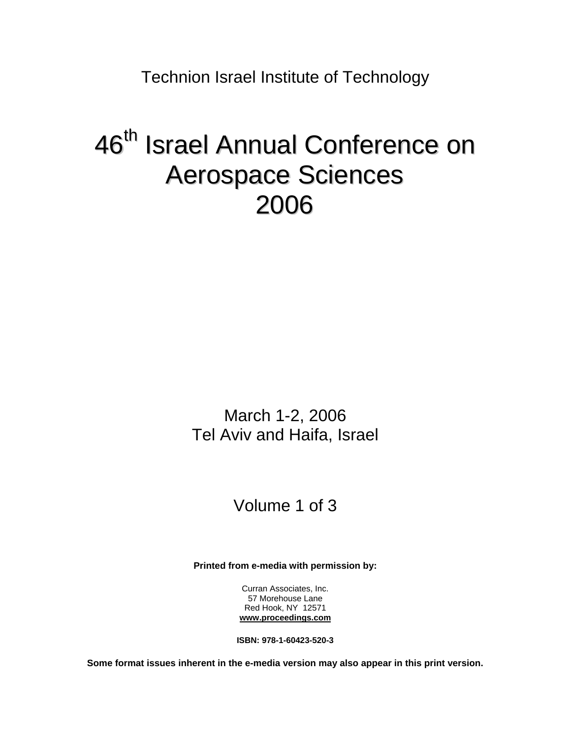Technion Israel Institute of Technology

# 46<sup>th</sup> Israel Annual Conference on Aerospace Sciences 2006

March 1-2, 2006 Tel Aviv and Haifa, Israel

# Volume 1 of 3

**Printed from e-media with permission by:** 

Curran Associates, Inc. 57 Morehouse Lane Red Hook, NY 12571 **[www.proceedings.com](http://www.proceedings.com/)**

**ISBN: 978-1-60423-520-3** 

**Some format issues inherent in the e-media version may also appear in this print version.**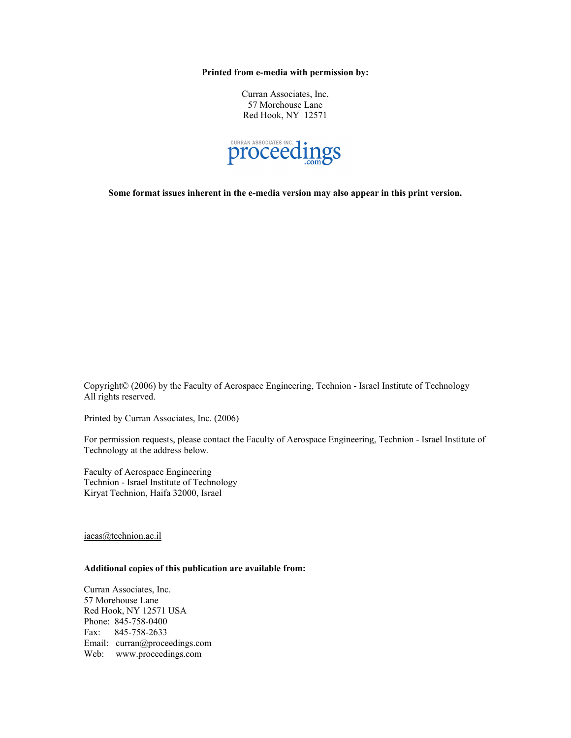**Printed from e-media with permission by:** 

Curran Associates, Inc. 57 Morehouse Lane Red Hook, NY 12571



**Some format issues inherent in the e-media version may also appear in this print version.** 

Copyright© (2006) by the Faculty of Aerospace Engineering, Technion - Israel Institute of Technology All rights reserved.

Printed by Curran Associates, Inc. (2006)

For permission requests, please contact the Faculty of Aerospace Engineering, Technion - Israel Institute of Technology at the address below.

Faculty of Aerospace Engineering Technion - Israel Institute of Technology Kiryat Technion, Haifa 32000, Israel

iacas@technion.ac.il

#### **Additional copies of this publication are available from:**

Curran Associates, Inc. 57 Morehouse Lane Red Hook, NY 12571 USA Phone: 845-758-0400 Fax: 845-758-2633 Email: curran@proceedings.com Web: www.proceedings.com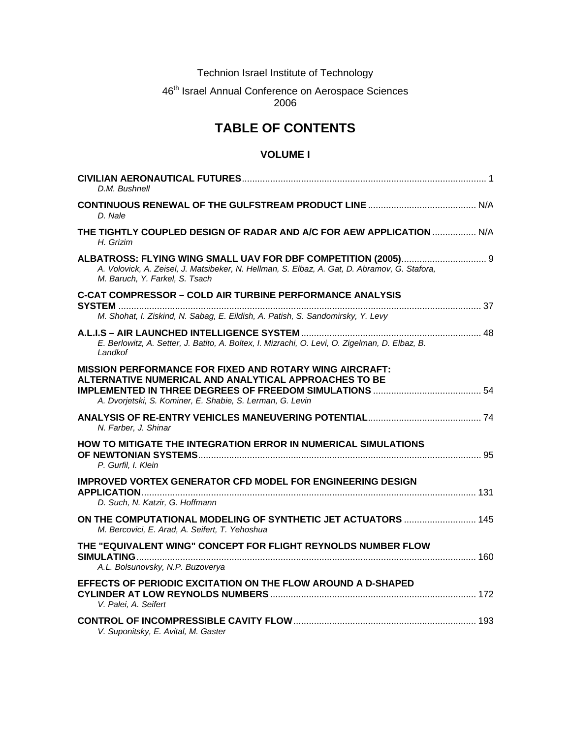Technion Israel Institute of Technology

## 46<sup>th</sup> Israel Annual Conference on Aerospace Sciences 2006

# **TABLE OF CONTENTS**

### **VOLUME I**

| D.M. Bushnell                                                                                                                                                                        |  |
|--------------------------------------------------------------------------------------------------------------------------------------------------------------------------------------|--|
| D. Nale                                                                                                                                                                              |  |
| THE TIGHTLY COUPLED DESIGN OF RADAR AND A/C FOR AEW APPLICATION  N/A<br>H. Grizim                                                                                                    |  |
| A. Volovick, A. Zeisel, J. Matsibeker, N. Hellman, S. Elbaz, A. Gat, D. Abramov, G. Stafora,<br>M. Baruch, Y. Farkel, S. Tsach                                                       |  |
| <b>C-CAT COMPRESSOR - COLD AIR TURBINE PERFORMANCE ANALYSIS</b>                                                                                                                      |  |
| M. Shohat, I. Ziskind, N. Sabag, E. Eildish, A. Patish, S. Sandomirsky, Y. Levy                                                                                                      |  |
| E. Berlowitz, A. Setter, J. Batito, A. Boltex, I. Mizrachi, O. Levi, O. Zigelman, D. Elbaz, B.<br>Landkof                                                                            |  |
| <b>MISSION PERFORMANCE FOR FIXED AND ROTARY WING AIRCRAFT:</b><br>ALTERNATIVE NUMERICAL AND ANALYTICAL APPROACHES TO BE<br>A. Dvorjetski, S. Kominer, E. Shabie, S. Lerman, G. Levin |  |
| N. Farber, J. Shinar                                                                                                                                                                 |  |
| HOW TO MITIGATE THE INTEGRATION ERROR IN NUMERICAL SIMULATIONS<br>P. Gurfil, I. Klein                                                                                                |  |
| <b>IMPROVED VORTEX GENERATOR CFD MODEL FOR ENGINEERING DESIGN</b>                                                                                                                    |  |
| D. Such, N. Katzir, G. Hoffmann                                                                                                                                                      |  |
| M. Bercovici, E. Arad, A. Seifert, T. Yehoshua                                                                                                                                       |  |
| THE "EQUIVALENT WING" CONCEPT FOR FLIGHT REYNOLDS NUMBER FLOW<br>A.L. Bolsunovsky, N.P. Buzoverya                                                                                    |  |
| EFFECTS OF PERIODIC EXCITATION ON THE FLOW AROUND A D-SHAPED<br>V. Palei, A. Seifert                                                                                                 |  |
| V. Suponitsky, E. Avital, M. Gaster                                                                                                                                                  |  |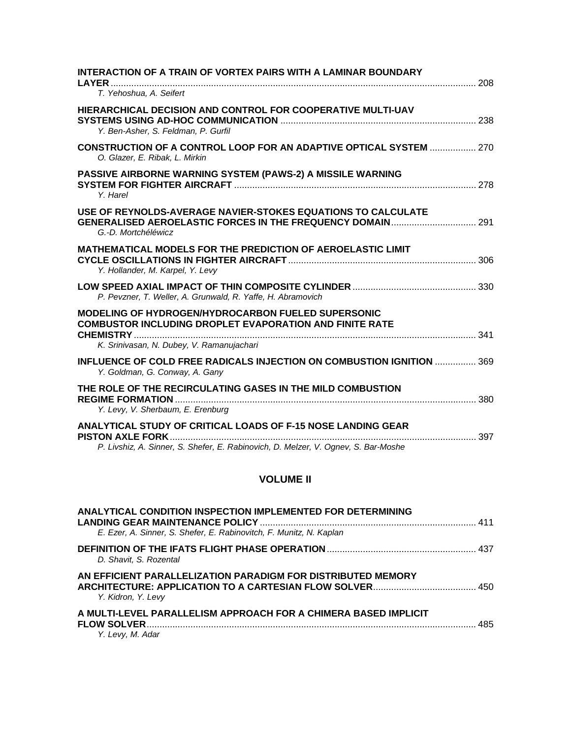| INTERACTION OF A TRAIN OF VORTEX PAIRS WITH A LAMINAR BOUNDARY                                                                                            |  |
|-----------------------------------------------------------------------------------------------------------------------------------------------------------|--|
| T. Yehoshua, A. Seifert                                                                                                                                   |  |
| HIERARCHICAL DECISION AND CONTROL FOR COOPERATIVE MULTI-UAV<br>Y. Ben-Asher, S. Feldman, P. Gurfil                                                        |  |
| <b>CONSTRUCTION OF A CONTROL LOOP FOR AN ADAPTIVE OPTICAL SYSTEM  270</b><br>O. Glazer, E. Ribak, L. Mirkin                                               |  |
| PASSIVE AIRBORNE WARNING SYSTEM (PAWS-2) A MISSILE WARNING<br>Y. Harel                                                                                    |  |
| USE OF REYNOLDS-AVERAGE NAVIER-STOKES EQUATIONS TO CALCULATE<br>G.-D. Mortchéléwicz                                                                       |  |
| MATHEMATICAL MODELS FOR THE PREDICTION OF AEROELASTIC LIMIT<br>Y. Hollander, M. Karpel, Y. Levy                                                           |  |
| P. Pevzner, T. Weller, A. Grunwald, R. Yaffe, H. Abramovich                                                                                               |  |
| <b>MODELING OF HYDROGEN/HYDROCARBON FUELED SUPERSONIC</b><br><b>COMBUSTOR INCLUDING DROPLET EVAPORATION AND FINITE RATE</b>                               |  |
| K. Srinivasan, N. Dubey, V. Ramanujachari                                                                                                                 |  |
| <b>INFLUENCE OF COLD FREE RADICALS INJECTION ON COMBUSTION IGNITION  369</b><br>Y. Goldman, G. Conway, A. Gany                                            |  |
| THE ROLE OF THE RECIRCULATING GASES IN THE MILD COMBUSTION<br>Y. Levy, V. Sherbaum, E. Erenburg                                                           |  |
| <b>ANALYTICAL STUDY OF CRITICAL LOADS OF F-15 NOSE LANDING GEAR</b><br>P. Livshiz, A. Sinner, S. Shefer, E. Rabinovich, D. Melzer, V. Ognev, S. Bar-Moshe |  |
|                                                                                                                                                           |  |

# **VOLUME II**

| ANALYTICAL CONDITION INSPECTION IMPLEMENTED FOR DETERMINING                        |  |
|------------------------------------------------------------------------------------|--|
| E. Ezer, A. Sinner, S. Shefer, E. Rabinovitch, F. Munitz, N. Kaplan                |  |
| D. Shavit, S. Rozental                                                             |  |
| AN EFFICIENT PARALLELIZATION PARADIGM FOR DISTRIBUTED MEMORY<br>Y. Kidron, Y. Levy |  |
| A MULTI-LEVEL PARALLELISM APPROACH FOR A CHIMERA BASED IMPLICIT                    |  |
| Y. Levy, M. Adar                                                                   |  |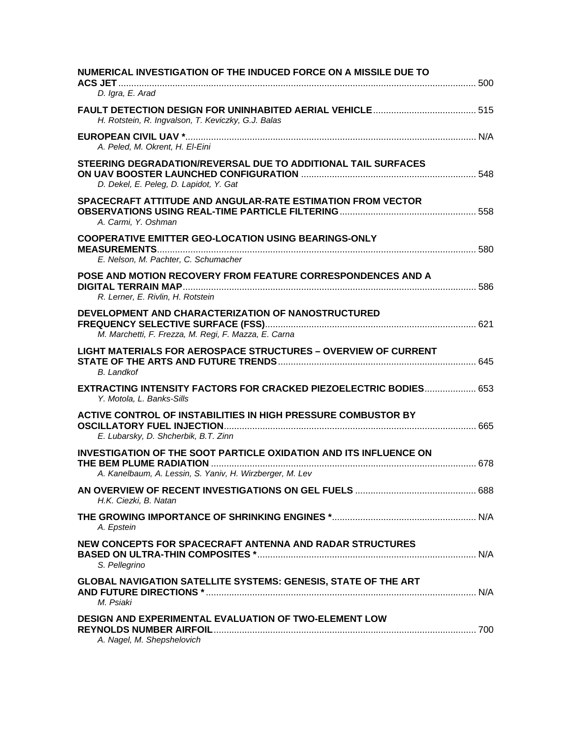| NUMERICAL INVESTIGATION OF THE INDUCED FORCE ON A MISSILE DUE TO                                             |  |
|--------------------------------------------------------------------------------------------------------------|--|
| D. Igra, E. Arad                                                                                             |  |
| H. Rotstein, R. Ingvalson, T. Keviczky, G.J. Balas                                                           |  |
| A. Peled, M. Okrent, H. El-Eini                                                                              |  |
| STEERING DEGRADATION/REVERSAL DUE TO ADDITIONAL TAIL SURFACES<br>D. Dekel, E. Peleg, D. Lapidot, Y. Gat      |  |
| SPACECRAFT ATTITUDE AND ANGULAR-RATE ESTIMATION FROM VECTOR<br>A. Carmi, Y. Oshman                           |  |
| <b>COOPERATIVE EMITTER GEO-LOCATION USING BEARINGS-ONLY</b><br>E. Nelson, M. Pachter, C. Schumacher          |  |
| POSE AND MOTION RECOVERY FROM FEATURE CORRESPONDENCES AND A<br>R. Lerner, E. Rivlin, H. Rotstein             |  |
| DEVELOPMENT AND CHARACTERIZATION OF NANOSTRUCTURED<br>M. Marchetti, F. Frezza, M. Regi, F. Mazza, E. Carna   |  |
| <b>LIGHT MATERIALS FOR AEROSPACE STRUCTURES - OVERVIEW OF CURRENT</b><br><b>B.</b> Landkof                   |  |
| <b>EXTRACTING INTENSITY FACTORS FOR CRACKED PIEZOELECTRIC BODIES 653</b><br>Y. Motola, L. Banks-Sills        |  |
| <b>ACTIVE CONTROL OF INSTABILITIES IN HIGH PRESSURE COMBUSTOR BY</b><br>E. Lubarsky, D. Shcherbik, B.T. Zinn |  |
| <b>INVESTIGATION OF THE SOOT PARTICLE OXIDATION AND ITS INFLUENCE ON</b>                                     |  |
| A. Kanelbaum, A. Lessin, S. Yaniv, H. Wirzberger, M. Lev                                                     |  |
| H.K. Ciezki, B. Natan                                                                                        |  |
| A. Epstein                                                                                                   |  |
| NEW CONCEPTS FOR SPACECRAFT ANTENNA AND RADAR STRUCTURES<br>S. Pellegrino                                    |  |
| <b>GLOBAL NAVIGATION SATELLITE SYSTEMS: GENESIS, STATE OF THE ART</b><br>M. Psiaki                           |  |
| <b>DESIGN AND EXPERIMENTAL EVALUATION OF TWO-ELEMENT LOW</b><br>A. Nagel, M. Shepshelovich                   |  |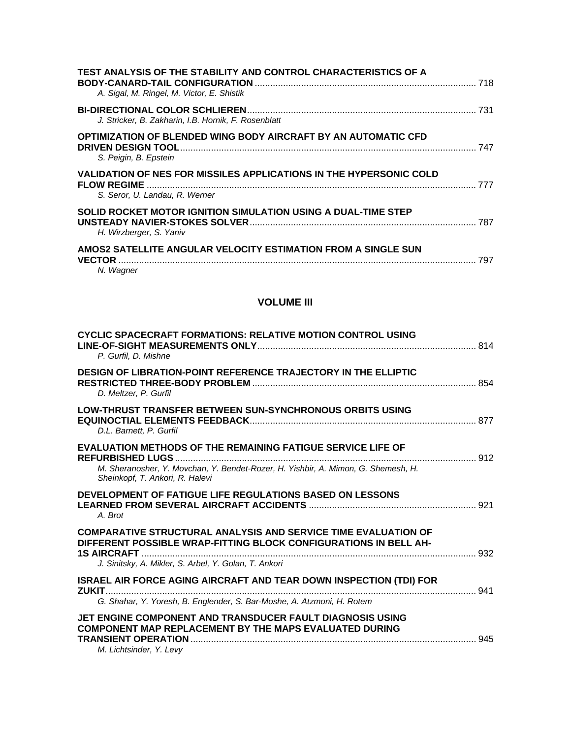| TEST ANALYSIS OF THE STABILITY AND CONTROL CHARACTERISTICS OF A<br>A. Sigal, M. Ringel, M. Victor, E. Shistik              |     |
|----------------------------------------------------------------------------------------------------------------------------|-----|
| J. Stricker, B. Zakharin, I.B. Hornik, F. Rosenblatt                                                                       | 731 |
| OPTIMIZATION OF BLENDED WING BODY AIRCRAFT BY AN AUTOMATIC CFD<br><b>DRIVEN DESIGN TOOL.</b><br>S. Peigin, B. Epstein      | 747 |
| VALIDATION OF NES FOR MISSILES APPLICATIONS IN THE HYPERSONIC COLD<br><b>FLOW REGIME</b><br>S. Seror, U. Landau, R. Werner |     |
| SOLID ROCKET MOTOR IGNITION SIMULATION USING A DUAL-TIME STEP<br>H. Wirzberger, S. Yaniv                                   | 787 |
| AMOS2 SATELLITE ANGULAR VELOCITY ESTIMATION FROM A SINGLE SUN<br><b>VECTOR</b><br>N. Wagner                                | 797 |

## **VOLUME III**

| <b>CYCLIC SPACECRAFT FORMATIONS: RELATIVE MOTION CONTROL USING</b><br>P. Gurfil, D. Mishne                                                                                                         |  |
|----------------------------------------------------------------------------------------------------------------------------------------------------------------------------------------------------|--|
| DESIGN OF LIBRATION-POINT REFERENCE TRAJECTORY IN THE ELLIPTIC<br>D. Meltzer, P. Gurfil                                                                                                            |  |
| <b>LOW-THRUST TRANSFER BETWEEN SUN-SYNCHRONOUS ORBITS USING</b><br>D.L. Barnett, P. Gurfil                                                                                                         |  |
| <b>EVALUATION METHODS OF THE REMAINING FATIGUE SERVICE LIFE OF</b><br>M. Sheranosher, Y. Movchan, Y. Bendet-Rozer, H. Yishbir, A. Mimon, G. Shemesh, H.<br>Sheinkopf, T. Ankori, R. Halevi         |  |
| DEVELOPMENT OF FATIGUE LIFE REGULATIONS BASED ON LESSONS<br>A. Brot                                                                                                                                |  |
| <b>COMPARATIVE STRUCTURAL ANALYSIS AND SERVICE TIME EVALUATION OF</b><br>DIFFERENT POSSIBLE WRAP-FITTING BLOCK CONFIGURATIONS IN BELL AH-<br>J. Sinitsky, A. Mikler, S. Arbel, Y. Golan, T. Ankori |  |
| <b>ISRAEL AIR FORCE AGING AIRCRAFT AND TEAR DOWN INSPECTION (TDI) FOR</b><br>G. Shahar, Y. Yoresh, B. Englender, S. Bar-Moshe, A. Atzmoni, H. Rotem                                                |  |
| JET ENGINE COMPONENT AND TRANSDUCER FAULT DIAGNOSIS USING<br><b>COMPONENT MAP REPLACEMENT BY THE MAPS EVALUATED DURING</b>                                                                         |  |

*M. Lichtsinder, Y. Levy*